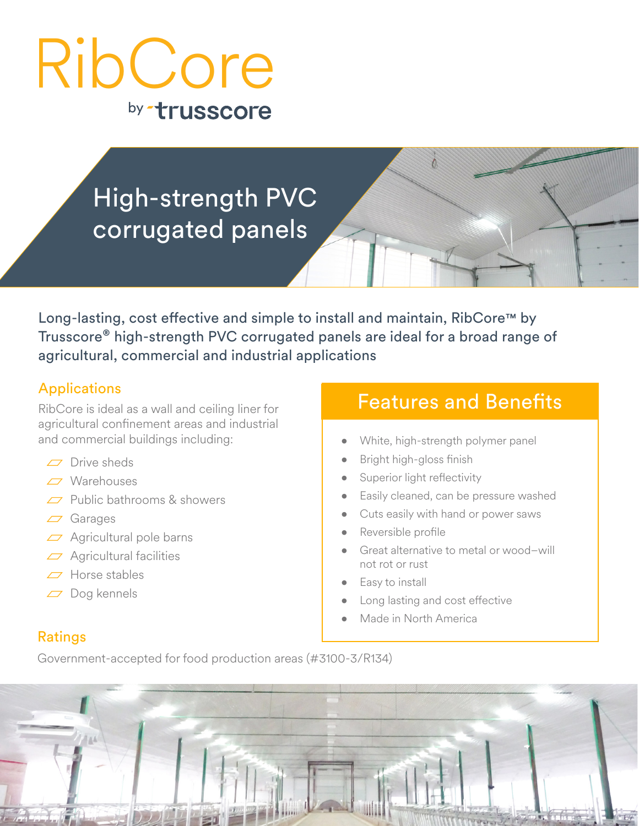# by trusscore RibCore

# High-strength PVC corrugated panels

Long-lasting, cost effective and simple to install and maintain, RibCore™ by Trusscore® high-strength PVC corrugated panels are ideal for a broad range of agricultural, commercial and industrial applications

#### **Applications**

RibCore is ideal as a wall and ceiling liner for agricultural confinement areas and industrial and commercial buildings including:

- $\Box$  Drive sheds
- Warehouses
- $\Box$  Public bathrooms & showers
- Garages
- $\overline{z}$  Agricultural pole barns
- $\Box$  Agricultural facilities
- $\Box$  Horse stables
- $\overline{C}$  Dog kennels

## Features and Benefits

- White, high-strength polymer panel
- Bright high-gloss finish
- Superior light reflectivity
- Easily cleaned, can be pressure washed
- Cuts easily with hand or power saws
- Reversible profile
- Great alternative to metal or wood–will not rot or rust
- Easy to install
- Long lasting and cost effective
- Made in North America

#### Ratings

Government-accepted for food production areas (#3100-3/R134)